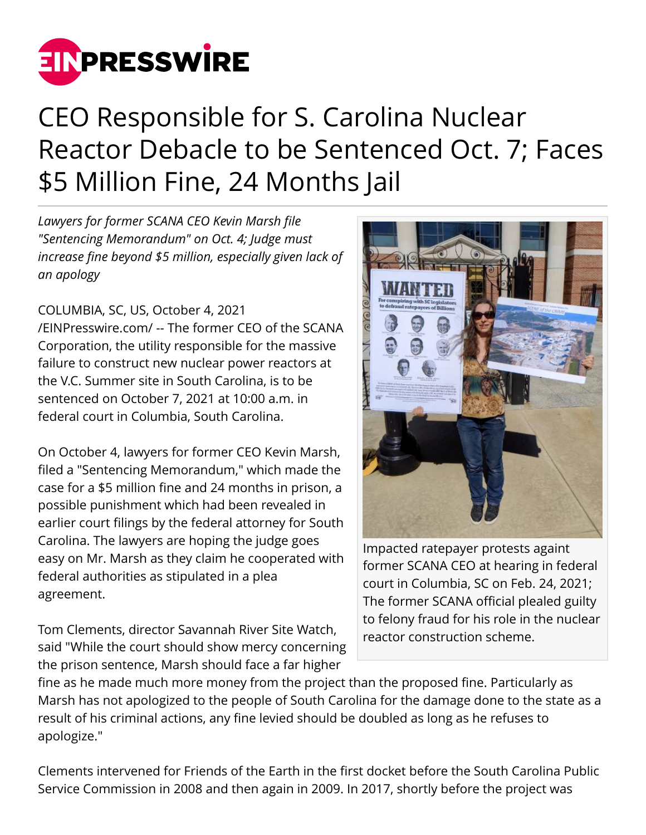

## CEO Responsible for S. Carolina Nuclear Reactor Debacle to be Sentenced Oct. 7; Faces \$5 Million Fine, 24 Months Jail

*Lawyers for former SCANA CEO Kevin Marsh file "Sentencing Memorandum" on Oct. 4; Judge must increase fine beyond \$5 million, especially given lack of an apology*

## COLUMBIA, SC, US, October 4, 2021

[/EINPresswire.com/](http://www.einpresswire.com) -- The former CEO of the SCANA Corporation, the utility responsible for the massive failure to construct new nuclear power reactors at the V.C. Summer site in South Carolina, is to be sentenced on October 7, 2021 at 10:00 a.m. in federal court in Columbia, South Carolina.

On October 4, lawyers for former CEO Kevin Marsh, filed a "Sentencing Memorandum," which made the case for a \$5 million fine and 24 months in prison, a possible punishment which had been revealed in earlier court filings by the federal attorney for South Carolina. The lawyers are hoping the judge goes easy on Mr. Marsh as they claim he cooperated with federal authorities as stipulated in a plea agreement.

Tom Clements, director Savannah River Site Watch, said "While the court should show mercy concerning the prison sentence, Marsh should face a far higher



Impacted ratepayer protests againt former SCANA CEO at hearing in federal court in Columbia, SC on Feb. 24, 2021; The former SCANA official plealed guilty to felony fraud for his role in the nuclear reactor construction scheme.

fine as he made much more money from the project than the proposed fine. Particularly as Marsh has not apologized to the people of South Carolina for the damage done to the state as a result of his criminal actions, any fine levied should be doubled as long as he refuses to apologize."

Clements intervened for Friends of the Earth in the first docket before the South Carolina Public Service Commission in 2008 and then again in 2009. In 2017, shortly before the project was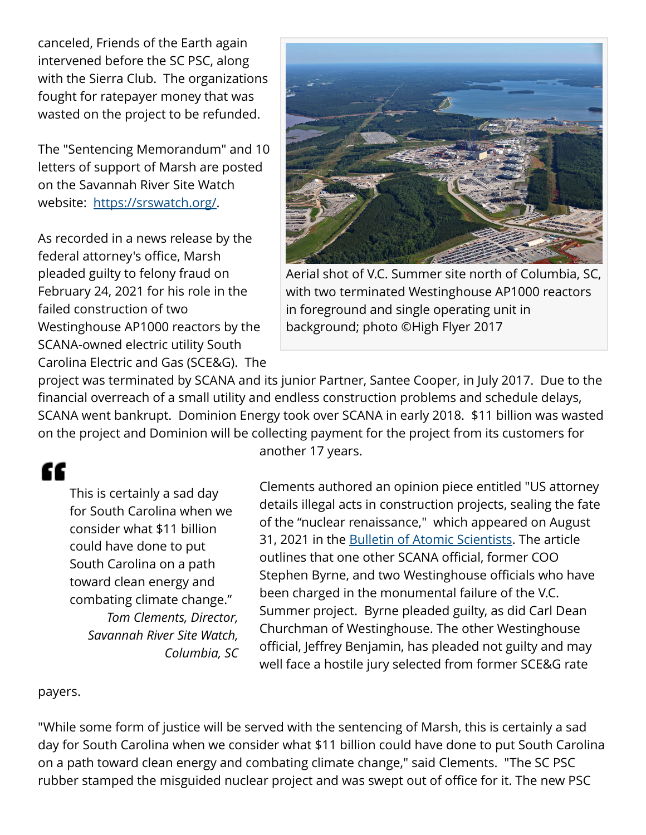canceled, Friends of the Earth again intervened before the SC PSC, along with the Sierra Club. The organizations fought for ratepayer money that was wasted on the project to be refunded.

The "Sentencing Memorandum" and 10 letters of support of Marsh are posted on the Savannah River Site Watch website: <https://srswatch.org/>.

As recorded in a news release by the federal attorney's office, Marsh pleaded guilty to felony fraud on February 24, 2021 for his role in the failed construction of two Westinghouse AP1000 reactors by the SCANA-owned electric utility South Carolina Electric and Gas (SCE&G). The



Aerial shot of V.C. Summer site north of Columbia, SC, with two terminated Westinghouse AP1000 reactors in foreground and single operating unit in background; photo ©High Flyer 2017

project was terminated by SCANA and its junior Partner, Santee Cooper, in July 2017. Due to the financial overreach of a small utility and endless construction problems and schedule delays, SCANA went bankrupt. Dominion Energy took over SCANA in early 2018. \$11 billion was wasted on the project and Dominion will be collecting payment for the project from its customers for

## ſſ

This is certainly a sad day for South Carolina when we consider what \$11 billion could have done to put South Carolina on a path toward clean energy and combating climate change." *Tom Clements, Director, Savannah River Site Watch, Columbia, SC* another 17 years.

Clements authored an opinion piece entitled "US attorney details illegal acts in construction projects, sealing the fate of the "nuclear renaissance," which appeared on August 31, 2021 in the [Bulletin of Atomic Scientists.](https://thebulletin.org/2021/08/us-attorney-details-illegal-acts-at-construction-projects-sealing-the-fate-of-the-nuclear-renaissance/) The article outlines that one other SCANA official, former COO Stephen Byrne, and two Westinghouse officials who have been charged in the monumental failure of the V.C. Summer project. Byrne pleaded guilty, as did Carl Dean Churchman of Westinghouse. The other Westinghouse official, Jeffrey Benjamin, has pleaded not guilty and may well face a hostile jury selected from former SCE&G rate

## payers.

"While some form of justice will be served with the sentencing of Marsh, this is certainly a sad day for South Carolina when we consider what \$11 billion could have done to put South Carolina on a path toward clean energy and combating climate change," said Clements. "The SC PSC rubber stamped the misguided nuclear project and was swept out of office for it. The new PSC